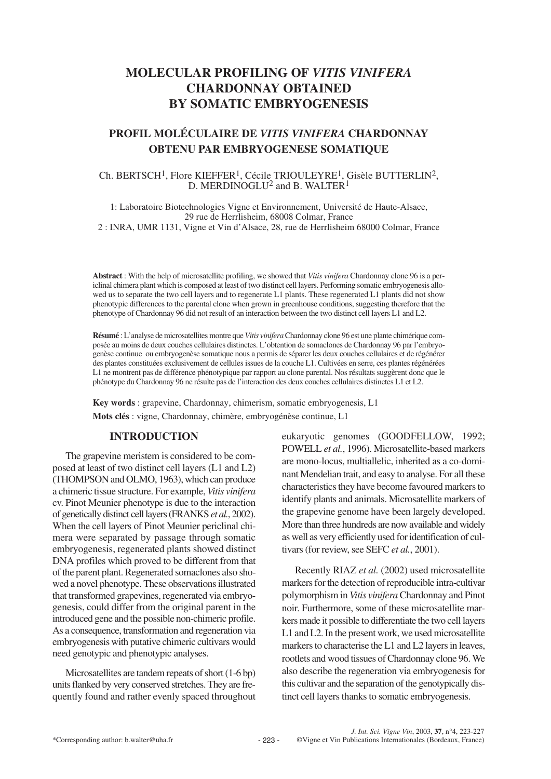# **MOLECULAR PROFILING OF** *VITIS VINIFERA* **CHARDONNAY OBTAINED BY SOMATIC EMBRYOGENESIS**

# **PROFIL MOLÉCULAIRE DE** *VITIS VINIFERA* **CHARDONNAY OBTENU PAR EMBRYOGENESE SOMATIQUE**

### Ch. BERTSCH1, Flore KIEFFER1, Cécile TRIOULEYRE1, Gisèle BUTTERLIN2, D. MERDINOGLU<sup>2</sup> and B. WALTER<sup>1</sup>

1: Laboratoire Biotechnologies Vigne et Environnement, Université de Haute-Alsace, 29 rue de Herrlisheim, 68008 Colmar, France 2 : INRA, UMR 1131, Vigne et Vin d'Alsace, 28, rue de Herrlisheim 68000 Colmar, France

**Abstract** : With the help of microsatellite profiling, we showed that *Vitis vinifera* Chardonnay clone 96 is a periclinal chimera plant which is composed at least of two distinct cell layers. Performing somatic embryogenesis allowed us to separate the two cell layers and to regenerate L1 plants. These regenerated L1 plants did not show phenotypic differences to the parental clone when grown in greenhouse conditions, suggesting therefore that the phenotype of Chardonnay 96 did not result of an interaction between the two distinct cell layers L1 and L2.

**Résumé** : L'analyse de microsatellites montre que *Vitis vinifera* Chardonnay clone 96 est une plante chimérique composée au moins de deux couches cellulaires distinctes. L'obtention de somaclones de Chardonnay 96 par l'embryogenèse continue ou embryogenèse somatique nous a permis de séparer les deux couches cellulaires et de régénérer des plantes constituées exclusivement de cellules issues de la couche L1. Cultivées en serre, ces plantes régénérées L1 ne montrent pas de différence phénotypique par rapport au clone parental. Nos résultats suggèrent donc que le phénotype du Chardonnay 96 ne résulte pas de l'interaction des deux couches cellulaires distinctes L1 et L2.

**Key words** : grapevine, Chardonnay, chimerism, somatic embryogenesis, L1 **Mots clés** : vigne, Chardonnay, chimère, embryogénèse continue, L1

# **INTRODUCTION**

The grapevine meristem is considered to be composed at least of two distinct cell layers (L1 and L2) (THOMPSON and OLMO, 1963), which can produce a chimeric tissue structure. For example, *Vitis vinifera* cv. Pinot Meunier phenotype is due to the interaction of genetically distinct cell layers (FRANKS *et al.*, 2002). When the cell layers of Pinot Meunier periclinal chimera were separated by passage through somatic embryogenesis, regenerated plants showed distinct DNA profiles which proved to be different from that of the parent plant. Regenerated somaclones also showed a novel phenotype. These observations illustrated that transformed grapevines, regenerated via embryogenesis, could differ from the original parent in the introduced gene and the possible non-chimeric profile. As a consequence, transformation and regeneration via embryogenesis with putative chimeric cultivars would need genotypic and phenotypic analyses.

Microsatellites are tandem repeats of short (1-6 bp) units flanked by very conserved stretches. They are frequently found and rather evenly spaced throughout eukaryotic genomes (GOODFELLOW, 1992; POWELL *et al.*, 1996). Microsatellite-based markers are mono-locus, multiallelic, inherited as a co-dominant Mendelian trait, and easy to analyse. For all these characteristics they have become favoured markers to identify plants and animals. Microsatellite markers of the grapevine genome have been largely developed. More than three hundreds are now available and widely as well as very efficiently used for identification of cultivars (for review, see SEFC *et al.*, 2001).

Recently RIAZ *et al.* (2002) used microsatellite markers for the detection of reproducible intra-cultivar polymorphism in *Vitis vinifera*Chardonnay and Pinot noir. Furthermore, some of these microsatellite markers made it possible to differentiate the two cell layers L1 and L2. In the present work, we used microsatellite markers to characterise the L1 and L2 layers in leaves, rootlets and wood tissues of Chardonnay clone 96. We also describe the regeneration via embryogenesis for this cultivar and the separation of the genotypically distinct cell layers thanks to somatic embryogenesis.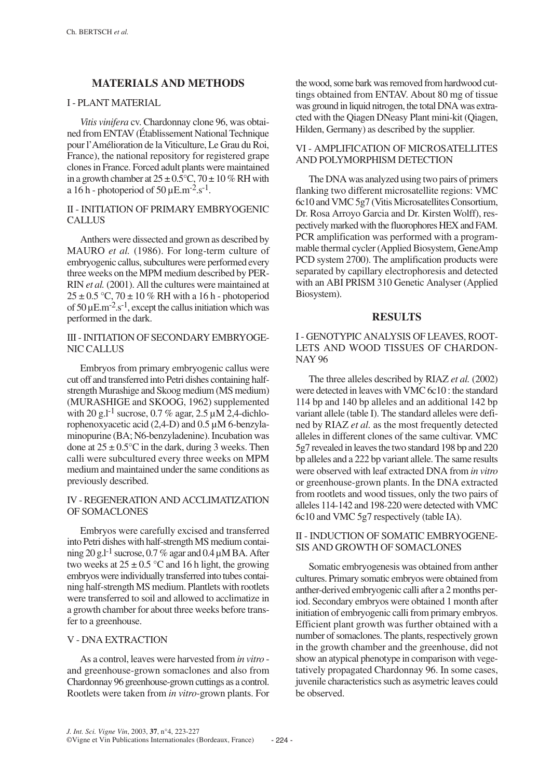# **MATERIALS AND METHODS**

#### I - PLANT MATERIAL

*Vitis vinifera* cv. Chardonnay clone 96, was obtained from ENTAV (Établissement National Technique pour l'Amélioration de la Viticulture, Le Grau du Roi, France), the national repository for registered grape clones in France. Forced adult plants were maintained in a growth chamber at  $25 \pm 0.5^{\circ}$ C,  $70 \pm 10\%$  RH with a 16 h - photoperiod of 50  $\mu$ E.m<sup>-2</sup>.s<sup>-1</sup>.

### II - INITIATION OF PRIMARY EMBRYOGENIC **CALLUS**

Anthers were dissected and grown as described by MAURO *et al.* (1986). For long-term culture of embryogenic callus, subcultures were performed every three weeks on the MPM medium described by PER-RIN *et al.* (2001). All the cultures were maintained at  $25 \pm 0.5$  °C,  $70 \pm 10$  % RH with a 16 h - photoperiod of  $50 \mu E.m^{-2}.s^{-1}$ , except the callus initiation which was performed in the dark.

#### III - INITIATION OF SECONDARY EMBRYOGE-NIC CALLUS

Embryos from primary embryogenic callus were cut off and transferred into Petri dishes containing halfstrength Murashige and Skoog medium (MS medium) (MURASHIGE and SKOOG, 1962) supplemented with 20 g.l<sup>-1</sup> sucrose, 0.7 % agar, 2.5  $\mu$ M 2,4-dichlorophenoxyacetic acid (2,4-D) and 0.5 µM 6-benzylaminopurine (BA; N6-benzyladenine). Incubation was done at  $25 \pm 0.5^{\circ}$ C in the dark, during 3 weeks. Then calli were subcultured every three weeks on MPM medium and maintained under the same conditions as previously described.

### IV - REGENERATION AND ACCLIMATIZATION OF SOMACLONES

Embryos were carefully excised and transferred into Petri dishes with half-strength MS medium containing 20 g.l<sup>-1</sup> sucrose, 0.7 % agar and 0.4  $\mu$ M BA. After two weeks at  $25 \pm 0.5$  °C and 16 h light, the growing embryos were individually transferred into tubes containing half-strength MS medium. Plantlets with rootlets were transferred to soil and allowed to acclimatize in a growth chamber for about three weeks before transfer to a greenhouse.

### V - DNA EXTRACTION

As a control, leaves were harvested from *in vitro* and greenhouse-grown somaclones and also from Chardonnay 96 greenhouse-grown cuttings as a control. Rootlets were taken from *in vitro-*grown plants. For the wood, some bark was removed from hardwood cuttings obtained from ENTAV. About 80 mg of tissue was ground in liquid nitrogen, the total DNA was extracted with the Qiagen DNeasy Plant mini-kit (Qiagen, Hilden, Germany) as described by the supplier.

## VI - AMPLIFICATION OF MICROSATELLITES AND POLYMORPHISM DETECTION

The DNA was analyzed using two pairs of primers flanking two different microsatellite regions: VMC 6c10 and VMC 5g7 (Vitis Microsatellites Consortium, Dr. Rosa Arroyo Garcia and Dr. Kirsten Wolff), respectively marked with the fluorophores HEX and FAM. PCR amplification was performed with a programmable thermal cycler (Applied Biosystem, GeneAmp PCD system 2700). The amplification products were separated by capillary electrophoresis and detected with an ABI PRISM 310 Genetic Analyser (Applied Biosystem).

#### **RESULTS**

## I - GENOTYPIC ANALYSIS OF LEAVES, ROOT-LETS AND WOOD TISSUES OF CHARDON-NAY 96

The three alleles described by RIAZ *et al.* (2002) were detected in leaves with VMC 6c10 : the standard 114 bp and 140 bp alleles and an additional 142 bp variant allele (table I). The standard alleles were defined by RIAZ *et al.* as the most frequently detected alleles in different clones of the same cultivar. VMC 5g7 revealed in leaves the two standard 198 bp and 220 bp alleles and a 222 bp variant allele. The same results were observed with leaf extracted DNA from *in vitro* or greenhouse-grown plants. In the DNA extracted from rootlets and wood tissues, only the two pairs of alleles 114-142 and 198-220 were detected with VMC 6c10 and VMC 5g7 respectively (table IA).

## II - INDUCTION OF SOMATIC EMBRYOGENE-SIS AND GROWTH OF SOMACLONES

Somatic embryogenesis was obtained from anther cultures. Primary somatic embryos were obtained from anther-derived embryogenic calli after a 2 months period. Secondary embryos were obtained 1 month after initiation of embryogenic calli from primary embryos. Efficient plant growth was further obtained with a number of somaclones. The plants, respectively grown in the growth chamber and the greenhouse, did not show an atypical phenotype in comparison with vegetatively propagated Chardonnay 96. In some cases, juvenile characteristics such as asymetric leaves could be observed.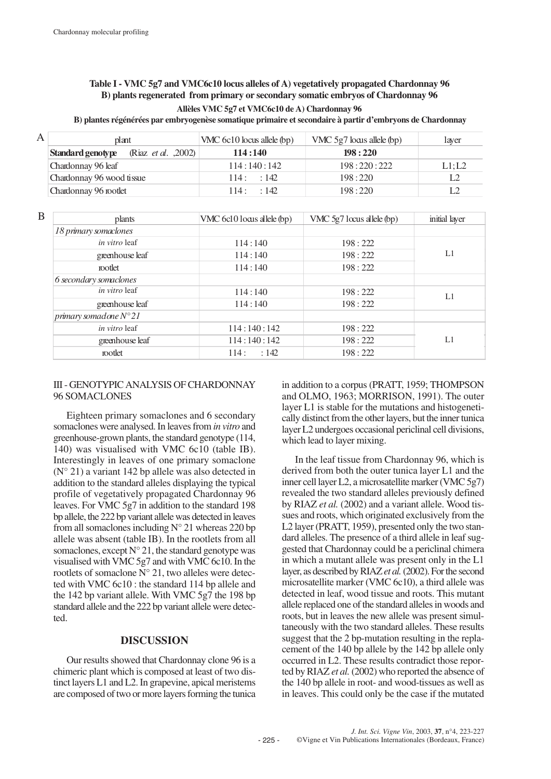## **Table I - VMC 5g7 and VMC6c10 locus alleles of A) vegetatively propagated Chardonnay 96 B) plants regenerated from primary or secondary somatic embryos of Chardonnay 96 Allèles VMC 5g7 et VMC6c10 de A) Chardonnay 96**

**B) plantes régénérées par embryogenèse somatique primaire et secondaire à partir d'embryons de Chardonnay** 

| A | plant                                                   | VMC 6c10 locus allele (bp) | VMC $5g7$ locus allele (bp) | laver  |
|---|---------------------------------------------------------|----------------------------|-----------------------------|--------|
|   | <b>Standard genotype</b><br>(Riaz <i>et al.</i> , 2002) | 114:140                    | 198:220                     |        |
|   | Chardonnay 96 leaf                                      | 114:140:142                | 198:220:222                 | L1; L2 |
|   | Chardonnay 96 wood tissue                               | 114:142                    | 198:220                     |        |
|   | Chardonnay 96 rootlet                                   | 114: 142                   | 198:220                     |        |

| B | plants                         | VMC 6c10 locus allele (bp) | VMC 5g7 locus allele (bp) | initial layer |
|---|--------------------------------|----------------------------|---------------------------|---------------|
|   | 18 primary somaclones          |                            |                           |               |
|   | <i>in vitro</i> leaf           | 114:140                    | 198:222                   | L1            |
|   | greenhouse leaf                | 114:140                    | 198:222                   |               |
|   | motlet                         | 114:140                    | 198:222                   |               |
|   | 6 secondary somaclones         |                            |                           |               |
|   | <i>in vitro</i> leaf           | 114:140                    | 198:222                   | L1            |
|   | greenhouse leaf                | 114:140                    | 198:222                   |               |
|   | primary somadone $N^{\circ}21$ |                            |                           |               |
|   | <i>in vitro</i> leaf           | 114:140:142                | 198:222                   |               |
|   | greenhouse leaf                | 114:140:142                | 198:222                   | L1            |
|   | rootlet                        | :142<br>114:               | 198:222                   |               |

#### III - GENOTYPIC ANALYSIS OF CHARDONNAY 96 SOMACLONES

Eighteen primary somaclones and 6 secondary somaclones were analysed. In leaves from *in vitro* and greenhouse-grown plants, the standard genotype (114, 140) was visualised with VMC 6c10 (table IB). Interestingly in leaves of one primary somaclone  $(N^{\circ} 21)$  a variant 142 bp allele was also detected in addition to the standard alleles displaying the typical profile of vegetatively propagated Chardonnay 96 leaves. For VMC 5g7 in addition to the standard 198 bp allele, the 222 bp variant allele was detected in leaves from all somaclones including  $N^{\circ}$  21 whereas 220 bp allele was absent (table IB). In the rootlets from all somaclones, except  $N^{\circ}$  21, the standard genotype was visualised with VMC 5g7 and with VMC 6c10. In the rootlets of somaclone  $N^{\circ}$  21, two alleles were detected with VMC 6c10 : the standard 114 bp allele and the 142 bp variant allele. With VMC 5g7 the 198 bp standard allele and the 222 bp variant allele were detected.

#### **DISCUSSION**

Our results showed that Chardonnay clone 96 is a chimeric plant which is composed at least of two distinct layers L1 and L2. In grapevine, apical meristems are composed of two or more layers forming the tunica in addition to a corpus (PRATT, 1959; THOMPSON and OLMO, 1963; MORRISON, 1991). The outer layer L1 is stable for the mutations and histogenetically distinct from the other layers, but the inner tunica layer L2 undergoes occasional periclinal cell divisions, which lead to layer mixing.

In the leaf tissue from Chardonnay 96, which is derived from both the outer tunica layer L1 and the inner cell layer L2, a microsatellite marker (VMC 5g7) revealed the two standard alleles previously defined by RIAZ *et al.* (2002) and a variant allele. Wood tissues and roots, which originated exclusively from the L2 layer (PRATT, 1959), presented only the two standard alleles. The presence of a third allele in leaf suggested that Chardonnay could be a periclinal chimera in which a mutant allele was present only in the L1 layer, as described by RIAZ *et al.*(2002). For the second microsatellite marker (VMC 6c10), a third allele was detected in leaf, wood tissue and roots. This mutant allele replaced one of the standard alleles in woods and roots, but in leaves the new allele was present simultaneously with the two standard alleles. These results suggest that the 2 bp-mutation resulting in the replacement of the 140 bp allele by the 142 bp allele only occurred in L2. These results contradict those reported by RIAZ *et al.*(2002) who reported the absence of the 140 bp allele in root- and wood-tissues as well as in leaves. This could only be the case if the mutated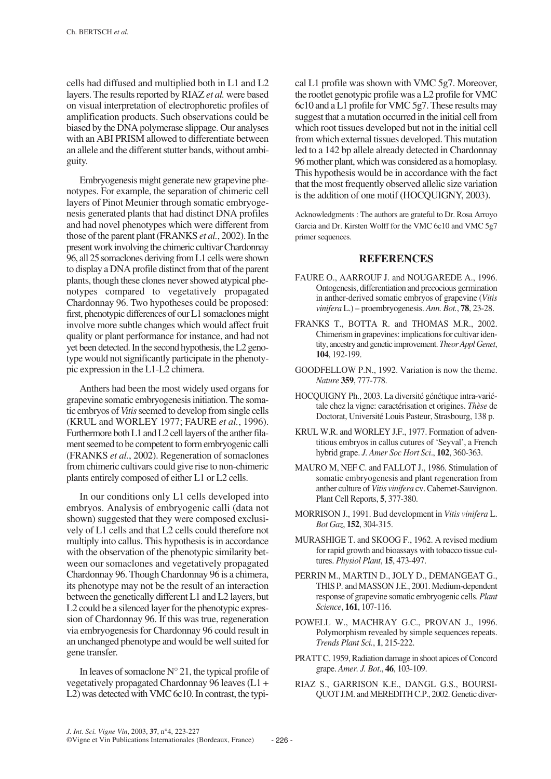cells had diffused and multiplied both in L1 and L2 layers. The results reported by RIAZ *et al.* were based on visual interpretation of electrophoretic profiles of amplification products. Such observations could be biased by the DNA polymerase slippage. Our analyses with an ABI PRISM allowed to differentiate between an allele and the different stutter bands, without ambiguity.

Embryogenesis might generate new grapevine phenotypes. For example, the separation of chimeric cell layers of Pinot Meunier through somatic embryogenesis generated plants that had distinct DNA profiles and had novel phenotypes which were different from those of the parent plant (FRANKS *et al.*, 2002). In the present work involving the chimeric cultivar Chardonnay 96, all 25 somaclones deriving from L1 cells were shown to display a DNA profile distinct from that of the parent plants, though these clones never showed atypical phenotypes compared to vegetatively propagated Chardonnay 96. Two hypotheses could be proposed: first, phenotypic differences of our L1 somaclones might involve more subtle changes which would affect fruit quality or plant performance for instance, and had not yet been detected. In the second hypothesis, the L2 genotype would not significantly participate in the phenotypic expression in the L1-L2 chimera.

Anthers had been the most widely used organs for grapevine somatic embryogenesis initiation. The somatic embryos of *Vitis*seemed to develop from single cells (KRUL and WORLEY 1977; FAURE *et al.*, 1996). Furthermore both L1 and L2 cell layers of the anther filament seemed to be competent to form embryogenic calli (FRANKS *et al.*, 2002). Regeneration of somaclones from chimeric cultivars could give rise to non-chimeric plants entirely composed of either L1 or L2 cells.

In our conditions only L1 cells developed into embryos. Analysis of embryogenic calli (data not shown) suggested that they were composed exclusively of L1 cells and that L2 cells could therefore not multiply into callus. This hypothesis is in accordance with the observation of the phenotypic similarity between our somaclones and vegetatively propagated Chardonnay 96. Though Chardonnay 96 is a chimera, its phenotype may not be the result of an interaction between the genetically different L1 and L2 layers, but L2 could be a silenced layer for the phenotypic expression of Chardonnay 96. If this was true, regeneration via embryogenesis for Chardonnay 96 could result in an unchanged phenotype and would be well suited for gene transfer.

In leaves of somaclone  $N^{\circ}$  21, the typical profile of vegetatively propagated Chardonnay 96 leaves (L1 + L2) was detected with VMC 6c10. In contrast, the typi-

cal L1 profile was shown with VMC 5g7. Moreover, the rootlet genotypic profile was a L2 profile for VMC 6c10 and a L1 profile for VMC 5g7. These results may suggest that a mutation occurred in the initial cell from which root tissues developed but not in the initial cell from which external tissues developed. This mutation led to a 142 bp allele already detected in Chardonnay 96 mother plant, which was considered as a homoplasy. This hypothesis would be in accordance with the fact that the most frequently observed allelic size variation is the addition of one motif (HOCQUIGNY, 2003).

Acknowledgments : The authors are grateful to Dr. Rosa Arroyo Garcia and Dr. Kirsten Wolff for the VMC 6c10 and VMC 5g7 primer sequences.

# **REFERENCES**

- FAURE O., AARROUF J. and NOUGAREDE A., 1996. Ontogenesis, differentiation and precocious germination in anther-derived somatic embryos of grapevine (*Vitis vinifera* L.) – proembryogenesis. *Ann. Bot.*, **78**, 23-28.
- FRANKS T., BOTTA R. and THOMAS M.R., 2002. Chimerism in grapevines: implications for cultivar identity, ancestry and genetic improvement. *Theor Appl Genet*, **104**, 192-199.
- GOODFELLOW P.N., 1992. Variation is now the theme. *Nature* **359**, 777-778.
- HOCQUIGNY Ph., 2003. La diversité génétique intra-variétale chez la vigne: caractérisation et origines. *Thèse* de Doctorat, Université Louis Pasteur, Strasbourg, 138 p.
- KRUL W.R. and WORLEY J.F., 1977. Formation of adventitious embryos in callus cutures of 'Seyval', a French hybrid grape. *J. Amer Soc Hort Sci*., **102**, 360-363.
- MAURO M, NEF C. and FALLOT J., 1986. Stimulation of somatic embryogenesis and plant regeneration from anther culture of *Vitis vinifera* cv. Cabernet-Sauvignon. Plant Cell Reports, **5**, 377-380.
- MORRISON J., 1991. Bud development in *Vitis vinifera* L. *Bot Gaz*, **152**, 304-315.
- MURASHIGE T. and SKOOG F., 1962. A revised medium for rapid growth and bioassays with tobacco tissue cultures. *Physiol Plant*, **15**, 473-497.
- PERRIN M., MARTIN D., JOLY D., DEMANGEAT G., THIS P. and MASSON J.E., 2001. Medium-dependent response of grapevine somatic embryogenic cells. *Plant Science*, **161**, 107-116.
- POWELL W., MACHRAY G.C., PROVAN J., 1996. Polymorphism revealed by simple sequences repeats. *Trends Plant Sci.*, **1**, 215-222.
- PRATT C. 1959, Radiation damage in shoot apices of Concord grape. *Amer. J. Bot*., **46**, 103-109.
- RIAZ S., GARRISON K.E., DANGL G.S., BOURSI-QUOT J.M. and MEREDITH C.P., 2002. Genetic diver-